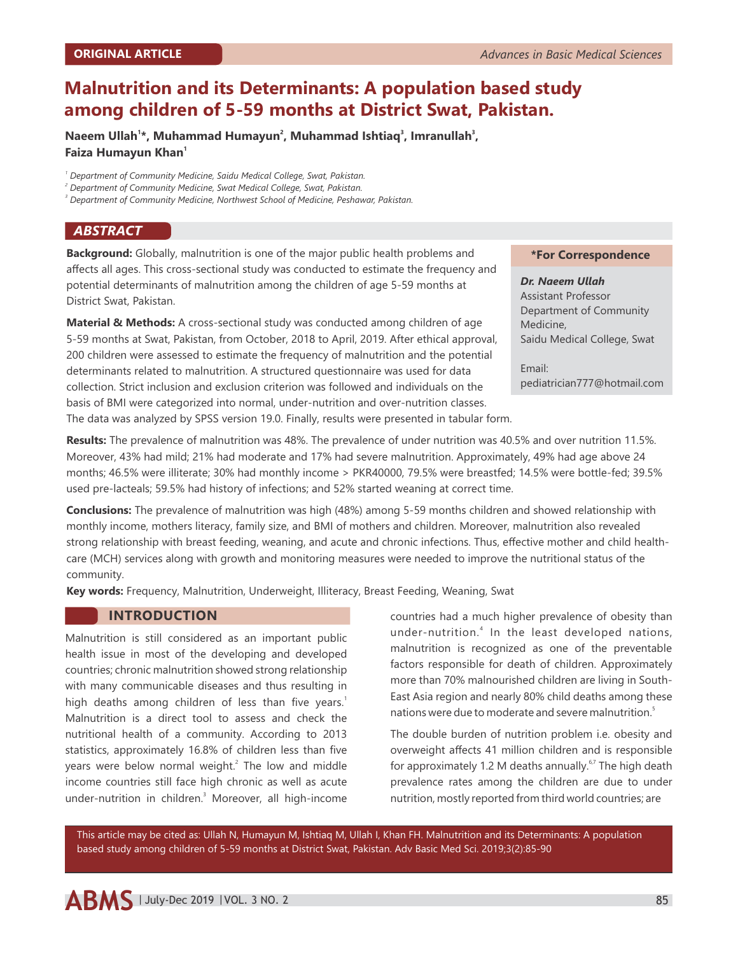# **Malnutrition and its Determinants: A population based study among children of 5-59 months at District Swat, Pakistan.**

**<sup>1</sup> <sup>2</sup> <sup>3</sup> <sup>3</sup> Naeem Ullah \*, Muhammad Humayun , Muhammad Ishtiaq , Imranullah , 1 Faiza Humayun Khan**

*1 Department of Community Medicine, Saidu Medical College, Swat, Pakistan.*

*2 Department of Community Medicine, Swat Medical College, Swat, Pakistan.*

*3 Department of Community Medicine, Northwest School of Medicine, Peshawar, Pakistan.*

### *ABSTRACT*

**Background:** Globally, malnutrition is one of the major public health problems and affects all ages. This cross-sectional study was conducted to estimate the frequency and potential determinants of malnutrition among the children of age 5-59 months at District Swat, Pakistan.

**Material & Methods:** A cross-sectional study was conducted among children of age 5-59 months at Swat, Pakistan, from October, 2018 to April, 2019. After ethical approval, 200 children were assessed to estimate the frequency of malnutrition and the potential determinants related to malnutrition. A structured questionnaire was used for data collection. Strict inclusion and exclusion criterion was followed and individuals on the basis of BMI were categorized into normal, under-nutrition and over-nutrition classes.

The data was analyzed by SPSS version 19.0. Finally, results were presented in tabular form.

# **Results:** The prevalence of malnutrition was 48%. The prevalence of under nutrition was 40.5% and over nutrition 11.5%. Moreover, 43% had mild; 21% had moderate and 17% had severe malnutrition. Approximately, 49% had age above 24 months; 46.5% were illiterate; 30% had monthly income > PKR40000, 79.5% were breastfed; 14.5% were bottle-fed; 39.5% used pre-lacteals; 59.5% had history of infections; and 52% started weaning at correct time.

**Conclusions:** The prevalence of malnutrition was high (48%) among 5-59 months children and showed relationship with monthly income, mothers literacy, family size, and BMI of mothers and children. Moreover, malnutrition also revealed strong relationship with breast feeding, weaning, and acute and chronic infections. Thus, effective mother and child healthcare (MCH) services along with growth and monitoring measures were needed to improve the nutritional status of the community.

**Key words:** Frequency, Malnutrition, Underweight, Illiteracy, Breast Feeding, Weaning, Swat

## **INTRODUCTION**

Malnutrition is still considered as an important public health issue in most of the developing and developed countries; chronic malnutrition showed strong relationship with many communicable diseases and thus resulting in high deaths among children of less than five years.<sup>1</sup> Malnutrition is a direct tool to assess and check the nutritional health of a community. According to 2013 statistics, approximately 16.8% of children less than five years were below normal weight. $2$  The low and middle income countries still face high chronic as well as acute under-nutrition in children.<sup>3</sup> Moreover, all high-income countries had a much higher prevalence of obesity than under-nutrition.<sup>4</sup> In the least developed nations, malnutrition is recognized as one of the preventable factors responsible for death of children. Approximately more than 70% malnourished children are living in South-East Asia region and nearly 80% child deaths among these nations were due to moderate and severe malnutrition.<sup>5</sup>

The double burden of nutrition problem i.e. obesity and overweight affects 41 million children and is responsible for approximately 1.2 M deaths annually.<sup> $6,7$ </sup> The high death prevalence rates among the children are due to under nutrition, mostly reported from third world countries; are

This article may be cited as: Ullah N, Humayun M, Ishtiaq M, Ullah I, Khan FH. Malnutrition and its Determinants: A population based study among children of 5-59 months at District Swat, Pakistan. Adv Basic Med Sci. 2019;3(2):85-90

#### **\*For Correspondence**

## *Dr. Naeem Ullah*

Assistant Professor Department of Community Medicine, Saidu Medical College, Swat

Email: pediatrician777@hotmail.com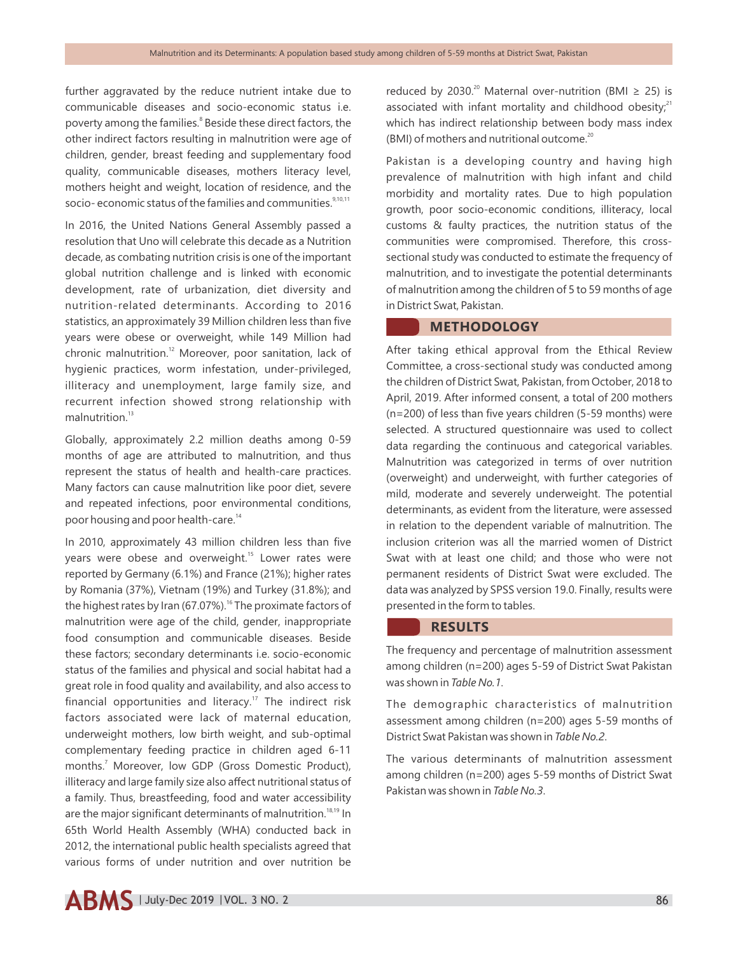further aggravated by the reduce nutrient intake due to communicable diseases and socio-economic status i.e. poverty among the families.<sup>8</sup> Beside these direct factors, the other indirect factors resulting in malnutrition were age of children, gender, breast feeding and supplementary food quality, communicable diseases, mothers literacy level, mothers height and weight, location of residence, and the socio- economic status of the families and communities.<sup>9,10,11</sup>

In 2016, the United Nations General Assembly passed a resolution that Uno will celebrate this decade as a Nutrition decade, as combating nutrition crisis is one of the important global nutrition challenge and is linked with economic development, rate of urbanization, diet diversity and nutrition-related determinants. According to 2016 statistics, an approximately 39 Million children less than five years were obese or overweight, while 149 Million had chronic malnutrition. $12$  Moreover, poor sanitation, lack of hygienic practices, worm infestation, under-privileged, illiteracy and unemployment, large family size, and recurrent infection showed strong relationship with  $m$ alnutrition<sup>13</sup>

Globally, approximately 2.2 million deaths among 0-59 months of age are attributed to malnutrition, and thus represent the status of health and health-care practices. Many factors can cause malnutrition like poor diet, severe and repeated infections, poor environmental conditions, poor housing and poor health-care.<sup>14</sup>

In 2010, approximately 43 million children less than five years were obese and overweight.<sup>15</sup> Lower rates were reported by Germany (6.1%) and France (21%); higher rates by Romania (37%), Vietnam (19%) and Turkey (31.8%); and the highest rates by Iran (67.07%).<sup>16</sup> The proximate factors of malnutrition were age of the child, gender, inappropriate food consumption and communicable diseases. Beside these factors; secondary determinants i.e. socio-economic status of the families and physical and social habitat had a great role in food quality and availability, and also access to financial opportunities and literacy.<sup>17</sup> The indirect risk factors associated were lack of maternal education, underweight mothers, low birth weight, and sub-optimal complementary feeding practice in children aged 6-11 months.<sup>7</sup> Moreover, low GDP (Gross Domestic Product), illiteracy and large family size also affect nutritional status of a family. Thus, breastfeeding, food and water accessibility are the major significant determinants of malnutrition.<sup>18,19</sup> In 65th World Health Assembly (WHA) conducted back in 2012, the international public health specialists agreed that various forms of under nutrition and over nutrition be

reduced by 2030.<sup>20</sup> Maternal over-nutrition (BMI  $\geq$  25) is associated with infant mortality and childhood obesity; $21$ which has indirect relationship between body mass index (BMI) of mothers and nutritional outcome.<sup>20</sup>

Pakistan is a developing country and having high prevalence of malnutrition with high infant and child morbidity and mortality rates. Due to high population growth, poor socio-economic conditions, illiteracy, local customs & faulty practices, the nutrition status of the communities were compromised. Therefore, this crosssectional study was conducted to estimate the frequency of malnutrition, and to investigate the potential determinants of malnutrition among the children of 5 to 59 months of age in District Swat, Pakistan.

## **METHODOLOGY**

After taking ethical approval from the Ethical Review Committee, a cross-sectional study was conducted among the children of District Swat, Pakistan, from October, 2018 to April, 2019. After informed consent, a total of 200 mothers (n=200) of less than five years children (5-59 months) were selected. A structured questionnaire was used to collect data regarding the continuous and categorical variables. Malnutrition was categorized in terms of over nutrition (overweight) and underweight, with further categories of mild, moderate and severely underweight. The potential determinants, as evident from the literature, were assessed in relation to the dependent variable of malnutrition. The inclusion criterion was all the married women of District Swat with at least one child; and those who were not permanent residents of District Swat were excluded. The data was analyzed by SPSS version 19.0. Finally, results were presented in the form to tables.

#### **RESULTS**

The frequency and percentage of malnutrition assessment among children (n=200) ages 5-59 of District Swat Pakistan was shown in *Table No.1*.

The demographic characteristics of malnutrition assessment among children (n=200) ages 5-59 months of District Swat Pakistan was shown in *Table No.2*.

The various determinants of malnutrition assessment among children (n=200) ages 5-59 months of District Swat Pakistan was shown in *Table No.3*.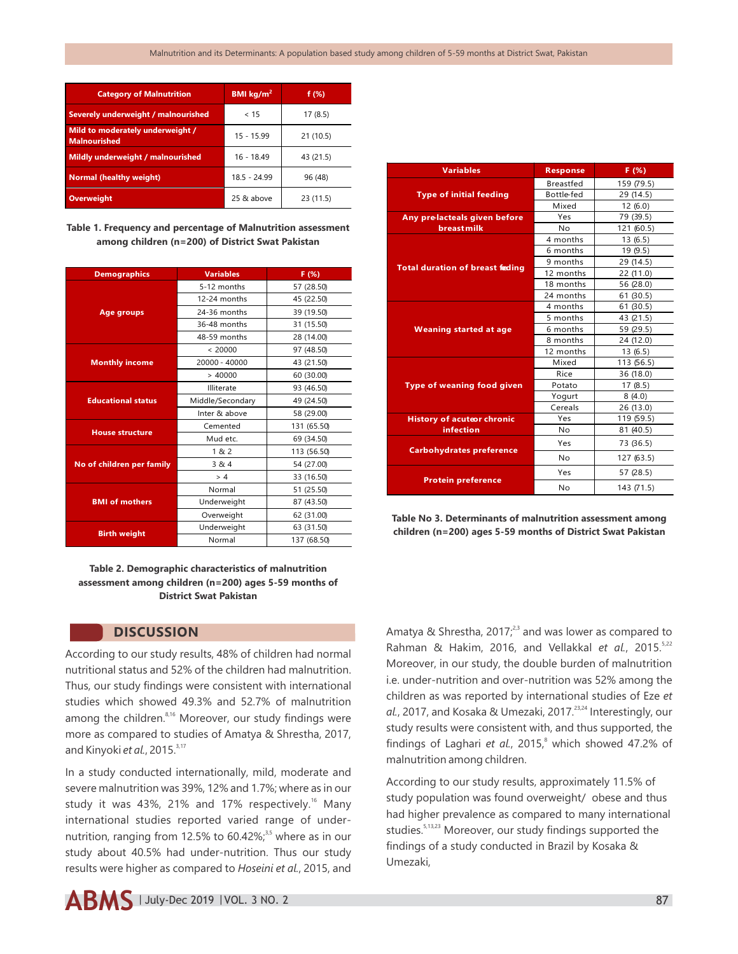| <b>Category of Malnutrition</b>                         | BMI $\text{kg/m}^2$ | f $(\%)$  |
|---------------------------------------------------------|---------------------|-----------|
| Severely underweight / malnourished                     | < 15                | 17(8.5)   |
| Mild to moderately underweight /<br><b>Malnourished</b> | $15 - 15.99$        | 21(10.5)  |
| <b>Mildly underweight / malnourished</b>                | $16 - 18.49$        | 43 (21.5) |
| <b>Normal (healthy weight)</b>                          | $18.5 - 24.99$      | 96 (48)   |
| Overweight                                              | 25 & above          | 23 (11.5) |

**Table 1. Frequency and percentage of Malnutrition assessment among children (n=200) of District Swat Pakistan**

| <b>Demographics</b>       | <b>Variables</b> | F(%)        |
|---------------------------|------------------|-------------|
| <b>Age groups</b>         | 5-12 months      | 57 (28.50)  |
|                           | 12-24 months     | 45 (22.50)  |
|                           | 24-36 months     | 39 (19.50)  |
|                           | 36-48 months     | 31 (15.50)  |
|                           | 48-59 months     | 28 (14.00)  |
| <b>Monthly income</b>     | < 20000          | 97 (48.50)  |
|                           | 20000 - 40000    | 43 (21.50)  |
|                           | > 40000          | 60 (30.00)  |
| <b>Educational status</b> | Illiterate       | 93 (46.50)  |
|                           | Middle/Secondary | 49 (24.50)  |
|                           | Inter & above    | 58 (29.00)  |
| <b>House structure</b>    | Cemented         | 131 (65.50) |
|                           | Mud etc.         | 69 (34.50)  |
| No of children per family | 1&2              | 113 (56.50) |
|                           | 3 & 4            | 54 (27.00)  |
|                           | > 4              | 33 (16.50)  |
| <b>BMI of mothers</b>     | Normal           | 51 (25.50)  |
|                           | Underweight      | 87 (43.50)  |
|                           | Overweight       | 62 (31.00)  |
| <b>Birth weight</b>       | Underweight      | 63 (31.50)  |
|                           | Normal           | 137 (68.50) |

#### **Table 2. Demographic characteristics of malnutrition assessment among children (n=200) ages 5-59 months of District Swat Pakistan**

# **DISCUSSION**

According to our study results, 48% of children had normal nutritional status and 52% of the children had malnutrition. Thus, our study findings were consistent with international studies which showed 49.3% and 52.7% of malnutrition among the children. $8,16$  Moreover, our study findings were more as compared to studies of Amatya & Shrestha, 2017, and Kinyoki et al., 2015.<sup>3,17</sup>

In a study conducted internationally, mild, moderate and severe malnutrition was 39%, 12% and 1.7%; where as in our study it was 43%, 21% and 17% respectively.<sup>16</sup> Many international studies reported varied range of undernutrition, ranging from 12.5% to 60.42%;<sup>3,5</sup> where as in our study about 40.5% had under-nutrition. Thus our study results were higher as compared to *Hoseini et al.*, 2015, and



| <b>Variables</b>                           | <b>Response</b>  | F(%)       |
|--------------------------------------------|------------------|------------|
| <b>Type of initial feeding</b>             | <b>Breastfed</b> | 159 (79.5) |
|                                            | Bottle-fed       | 29 (14.5)  |
|                                            | Mixed            | 12(6.0)    |
| Any prelacteals given before<br>breastmilk | Yes              | 79 (39.5)  |
|                                            | N <sub>o</sub>   | 121 (60.5) |
| <b>Total duration of breast feding</b>     | 4 months         | 13(6.5)    |
|                                            | 6 months         | 19(9.5)    |
|                                            | 9 months         | 29 (14.5)  |
|                                            | 12 months        | 22 (11.0)  |
|                                            | 18 months        | 56 (28.0)  |
|                                            | 24 months        | 61 (30.5)  |
|                                            | 4 months         | 61 (30.5)  |
| <b>Weaning started at age</b>              | 5 months         | 43 (21.5)  |
|                                            | 6 months         | 59 (29.5)  |
|                                            | 8 months         | 24 (12.0)  |
|                                            | 12 months        | 13(6.5)    |
|                                            | Mixed            | 113 (56.5) |
|                                            | Rice             | 36 (18.0)  |
| Type of weaning food given                 | Potato           | 17(8.5)    |
|                                            | Yogurt           | 8(4.0)     |
|                                            | Cereals          | 26 (13.0)  |
| <b>History of acuteor chronic</b>          | Yes              | 119 (59.5) |
| <b>infection</b>                           | N <sub>o</sub>   | 81 (40.5)  |
| <b>Carbohydrates preference</b>            | Yes              | 73 (36.5)  |
|                                            | <b>No</b>        | 127 (63.5) |
| <b>Protein preference</b>                  | Yes              | 57 (28.5)  |
|                                            | <b>No</b>        | 143 (71.5) |

**Table No 3. Determinants of malnutrition assessment among children (n=200) ages 5-59 months of District Swat Pakistan**

Amatya & Shrestha, 2017;<sup>23</sup> and was lower as compared to 5,22 Rahman & Hakim, 2016, and Vellakkal *et al.*, 2015. Moreover, in our study, the double burden of malnutrition i.e. under-nutrition and over-nutrition was 52% among the children as was reported by international studies of Eze *et*  al., 2017, and Kosaka & Umezaki, 2017.<sup>23,24</sup> Interestingly, our study results were consistent with, and thus supported, the findings of Laghari et al., 2015,<sup>8</sup> which showed 47.2% of malnutrition among children.

According to our study results, approximately 11.5% of study population was found overweight/ obese and thus had higher prevalence as compared to many international studies.<sup>5,13,23</sup> Moreover, our study findings supported the findings of a study conducted in Brazil by Kosaka & Umezaki,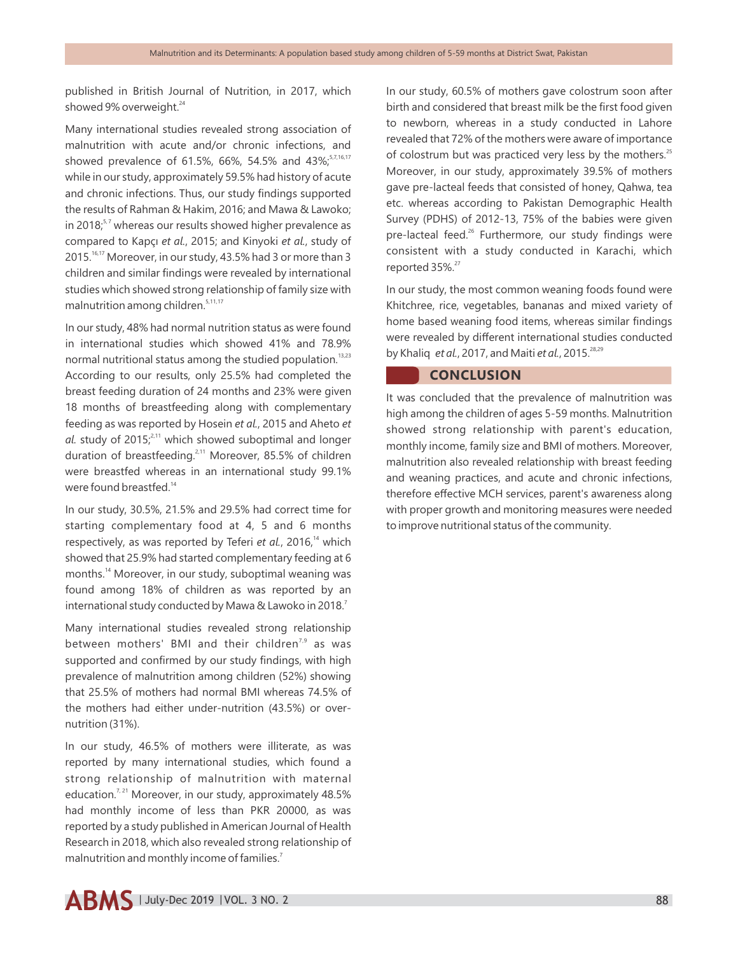published in British Journal of Nutrition, in 2017, which showed 9% overweight.<sup>24</sup>

Many international studies revealed strong association of malnutrition with acute and/or chronic infections, and showed prevalence of 61.5%, 66%, 54.5% and 43%;  $57,16,17$ while in our study, approximately 59.5% had history of acute and chronic infections. Thus, our study findings supported the results of Rahman & Hakim, 2016; and Mawa & Lawoko; in 2018;<sup>5, 7</sup> whereas our results showed higher prevalence as compared to Kapçı *et al.*, 2015; and Kinyoki *et al.*, study of 2015.<sup>16,17</sup> Moreover, in our study, 43.5% had 3 or more than 3 children and similar findings were revealed by international studies which showed strong relationship of family size with malnutrition among children.<sup>5,11,17</sup>

In our study, 48% had normal nutrition status as were found in international studies which showed 41% and 78.9% normal nutritional status among the studied population.<sup>13,23</sup> According to our results, only 25.5% had completed the breast feeding duration of 24 months and 23% were given 18 months of breastfeeding along with complementary feeding as was reported by Hosein *et al.*, 2015 and Aheto *et*  al. study of 2015;<sup>2,11</sup> which showed suboptimal and longer duration of breastfeeding.<sup>2,11</sup> Moreover, 85.5% of children were breastfed whereas in an international study 99.1% were found breastfed.<sup>14</sup>

In our study, 30.5%, 21.5% and 29.5% had correct time for starting complementary food at 4, 5 and 6 months respectively, as was reported by Teferi *et al.*, 2016,<sup>14</sup> which showed that 25.9% had started complementary feeding at 6 months.<sup>14</sup> Moreover, in our study, suboptimal weaning was found among 18% of children as was reported by an international study conducted by Mawa & Lawoko in 2018.<sup>7</sup>

Many international studies revealed strong relationship between mothers' BMI and their children<sup>7,9</sup> as was supported and confirmed by our study findings, with high prevalence of malnutrition among children (52%) showing that 25.5% of mothers had normal BMI whereas 74.5% of the mothers had either under-nutrition (43.5%) or overnutrition (31%).

In our study, 46.5% of mothers were illiterate, as was reported by many international studies, which found a strong relationship of malnutrition with maternal education.<sup>7, 21</sup> Moreover, in our study, approximately 48.5% had monthly income of less than PKR 20000, as was reported by a study published in American Journal of Health Research in 2018, which also revealed strong relationship of malnutrition and monthly income of families.<sup>7</sup>

In our study, 60.5% of mothers gave colostrum soon after birth and considered that breast milk be the first food given to newborn, whereas in a study conducted in Lahore revealed that 72% of the mothers were aware of importance of colostrum but was practiced very less by the mothers.<sup>25</sup> Moreover, in our study, approximately 39.5% of mothers gave pre-lacteal feeds that consisted of honey, Qahwa, tea etc. whereas according to Pakistan Demographic Health Survey (PDHS) of 2012-13, 75% of the babies were given pre-lacteal feed.<sup>26</sup> Furthermore, our study findings were consistent with a study conducted in Karachi, which reported 35%.<sup>27</sup>

In our study, the most common weaning foods found were Khitchree, rice, vegetables, bananas and mixed variety of home based weaning food items, whereas similar findings were revealed by different international studies conducted 28,29 by Khaliq *et al.*, 2017, and Maiti *et al.*, 2015.

## **CONCLUSION**

It was concluded that the prevalence of malnutrition was high among the children of ages 5-59 months. Malnutrition showed strong relationship with parent's education, monthly income, family size and BMI of mothers. Moreover, malnutrition also revealed relationship with breast feeding and weaning practices, and acute and chronic infections, therefore effective MCH services, parent's awareness along with proper growth and monitoring measures were needed to improve nutritional status of the community.

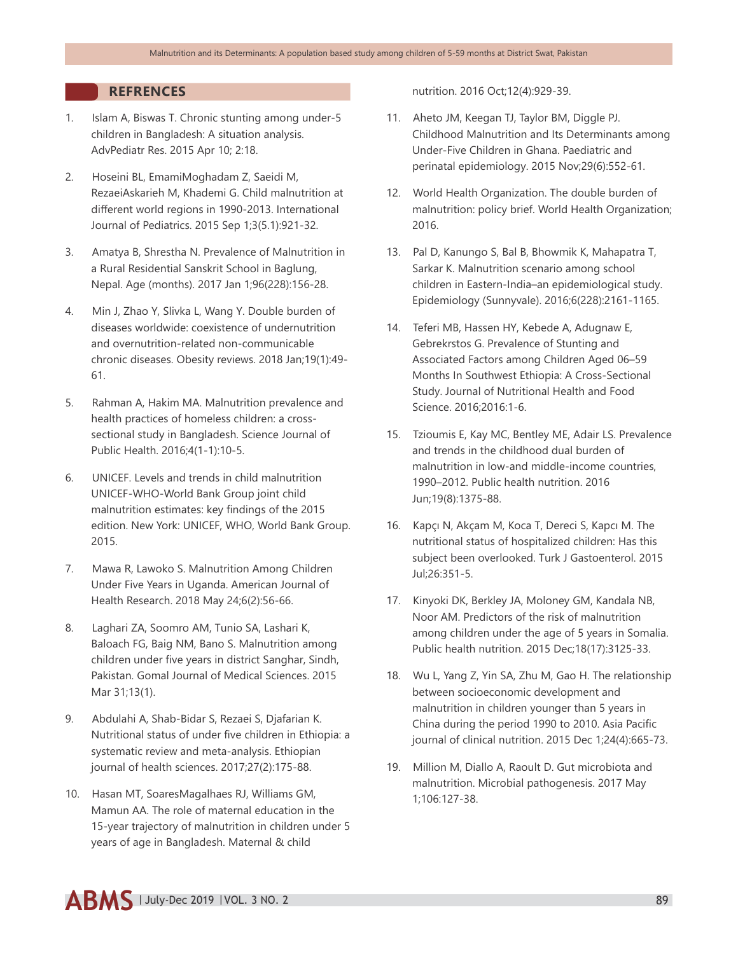## **REFRENCES**

- 1. Islam A, Biswas T. Chronic stunting among under-5 children in Bangladesh: A situation analysis. AdvPediatr Res. 2015 Apr 10; 2:18.
- 2. Hoseini BL, EmamiMoghadam Z, Saeidi M, RezaeiAskarieh M, Khademi G. Child malnutrition at different world regions in 1990-2013. International Journal of Pediatrics. 2015 Sep 1;3(5.1):921-32.
- 3. Amatya B, Shrestha N. Prevalence of Malnutrition in a Rural Residential Sanskrit School in Baglung, Nepal. Age (months). 2017 Jan 1;96(228):156-28.
- 4. Min J, Zhao Y, Slivka L, Wang Y. Double burden of diseases worldwide: coexistence of undernutrition and overnutrition-related non-communicable chronic diseases. Obesity reviews. 2018 Jan;19(1):49- 61.
- 5. Rahman A, Hakim MA. Malnutrition prevalence and health practices of homeless children: a crosssectional study in Bangladesh. Science Journal of Public Health. 2016;4(1-1):10-5.
- 6. UNICEF. Levels and trends in child malnutrition UNICEF-WHO-World Bank Group joint child malnutrition estimates: key findings of the 2015 edition. New York: UNICEF, WHO, World Bank Group. 2015.
- 7. Mawa R, Lawoko S. Malnutrition Among Children Under Five Years in Uganda. American Journal of Health Research. 2018 May 24;6(2):56-66.
- 8. Laghari ZA, Soomro AM, Tunio SA, Lashari K, Baloach FG, Baig NM, Bano S. Malnutrition among children under five years in district Sanghar, Sindh, Pakistan. Gomal Journal of Medical Sciences. 2015 Mar 31;13(1).
- 9. Abdulahi A, Shab-Bidar S, Rezaei S, Djafarian K. Nutritional status of under five children in Ethiopia: a systematic review and meta-analysis. Ethiopian journal of health sciences. 2017;27(2):175-88.
- 10. Hasan MT, SoaresMagalhaes RJ, Williams GM, Mamun AA. The role of maternal education in the 15-year trajectory of malnutrition in children under 5 years of age in Bangladesh. Maternal & child

nutrition. 2016 Oct;12(4):929-39.

- 11. Aheto JM, Keegan TJ, Taylor BM, Diggle PJ. Childhood Malnutrition and Its Determinants among Under-Five Children in Ghana. Paediatric and perinatal epidemiology. 2015 Nov;29(6):552-61.
- 12. World Health Organization. The double burden of malnutrition: policy brief. World Health Organization; 2016.
- 13. Pal D, Kanungo S, Bal B, Bhowmik K, Mahapatra T, Sarkar K. Malnutrition scenario among school children in Eastern-India–an epidemiological study. Epidemiology (Sunnyvale). 2016;6(228):2161-1165.
- 14. Teferi MB, Hassen HY, Kebede A, Adugnaw E, Gebrekrstos G. Prevalence of Stunting and Associated Factors among Children Aged 06–59 Months In Southwest Ethiopia: A Cross-Sectional Study. Journal of Nutritional Health and Food Science. 2016;2016:1-6.
- 15. Tzioumis E, Kay MC, Bentley ME, Adair LS. Prevalence and trends in the childhood dual burden of malnutrition in low-and middle-income countries, 1990–2012. Public health nutrition. 2016 Jun;19(8):1375-88.
- 16. Kapçı N, Akçam M, Koca T, Dereci S, Kapcı M. The nutritional status of hospitalized children: Has this subject been overlooked. Turk J Gastoenterol. 2015 Jul;26:351-5.
- 17. Kinyoki DK, Berkley JA, Moloney GM, Kandala NB, Noor AM. Predictors of the risk of malnutrition among children under the age of 5 years in Somalia. Public health nutrition. 2015 Dec;18(17):3125-33.
- 18. Wu L, Yang Z, Yin SA, Zhu M, Gao H. The relationship between socioeconomic development and malnutrition in children younger than 5 years in China during the period 1990 to 2010. Asia Pacific journal of clinical nutrition. 2015 Dec 1;24(4):665-73.
- 19. Million M, Diallo A, Raoult D. Gut microbiota and malnutrition. Microbial pathogenesis. 2017 May 1;106:127-38.